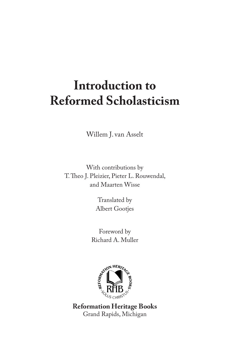# **Introduction to Reformed Scholasticism**

Willem J. van Asselt

With contributions by T. Theo J. Pleizier, Pieter L. Rouwendal, and Maarten Wisse

> Translated by Albert Gootjes

Foreword by Richard A. Muller



**Reformation Heritage Books** Grand Rapids, Michigan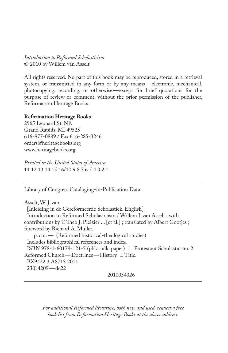*Introduction to Reformed Scholasticism* © 2010 by Willem van Asselt

All rights reserved. No part of this book may be reproduced, stored in a retrieval system, or transmitted in any form or by any means—electronic, mechanical, photocopying, recording, or otherwise—except for brief quotations for the purpose of review or comment, without the prior permission of the publisher, Reformation Heritage Books.

#### **Reformation Heritage Books**

2965 Leonard St. NE Grand Rapids, MI 49525 616-977-0889 / Fax 616-285-3246 orders@heritagebooks.org www.heritagebooks.org

*Printed in the United States of America.* 11 12 13 14 15 16/10 9 8 7 6 5 4 3 2 1

Library of Congress Cataloging-in-Publication Data

Asselt, W. J. van. [Inleiding in de Gereformeerde Scholastiek. English] Introduction to Reformed Scholasticism / Willem J. van Asselt ; with contributions by T. Theo J. Pleizier ... [et al.]; translated by Albert Gootjes; foreword by Richard A. Muller. p. cm. — (Reformed historical-theological studies) Includes bibliographical references and index. ISBN 978-1-60178-121-5 (pbk. : alk. paper) 1. Protestant Scholasticism. 2. Reformed Church—Doctrines—History. I. Title. BX9422.3.A8713 2011 230'.4209—dc22

2010054326

*For additional Reformed literature, both new and used, request a free book list from Reformation Heritage Books at the above address.*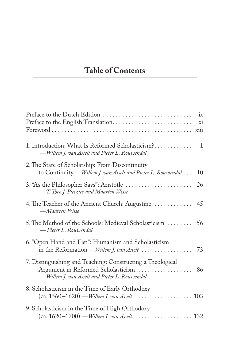## **Table of Contents**

| ix                                                                                                                                          |
|---------------------------------------------------------------------------------------------------------------------------------------------|
| 1. Introduction: What Is Reformed Scholasticism?<br>$\mathbf{1}$<br>— Willem J. van Asselt and Pieter L. Rouwendal                          |
| 2. The State of Scholarship: From Discontinuity<br>to Continuity — Willem J. van Asselt and Pieter L. Rouwendal<br>10                       |
| 26<br>-T. Theo J. Pleizier and Maarten Wisse                                                                                                |
| 4. The Teacher of the Ancient Church: Augustine. 45<br>— Maarten Wisse                                                                      |
| 5. The Method of the Schools: Medieval Scholasticism  56<br>— Pieter L. Rouwendal                                                           |
| 6. "Open Hand and Fist": Humanism and Scholasticism<br>in the Reformation — Willem J. van Asselt<br>73                                      |
| 7. Distinguishing and Teaching: Constructing a Theological<br>86<br>-Willem J. van Asselt and Pieter L. Rouwendal                           |
| 8. Scholasticism in the Time of Early Orthodoxy<br>$(ca. 1560-1620)$ — Willem J. van Asselt $\ldots \ldots \ldots \ldots \ldots \ldots 103$ |
| 9. Scholasticism in the Time of High Orthodoxy<br>$(ca. 1620-1700) - Willem J. van Asselt. 132$                                             |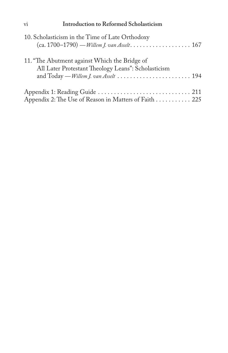## vi **Introduction to Reformed Scholasticism**

| 10. Scholasticism in the Time of Late Orthodoxy                                                                                               |  |
|-----------------------------------------------------------------------------------------------------------------------------------------------|--|
| 11. "The Abutment against Which the Bridge of<br>All Later Protestant Theology Leans": Scholasticism<br>and Today — Willem J. van Asselt  194 |  |
| Appendix 2: The Use of Reason in Matters of Faith 225                                                                                         |  |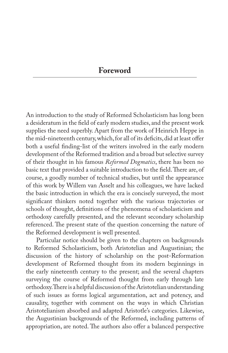## **Foreword**

An introduction to the study of Reformed Scholasticism has long been a desideratum in the field of early modern studies, and the present work supplies the need superbly. Apart from the work of Heinrich Heppe in the mid-nineteenth century, which, for all of its deficits, did at least offer both a useful finding-list of the writers involved in the early modern development of the Reformed tradition and a broad but selective survey of their thought in his famous *Reformed Dogmatics*, there has been no basic text that provided a suitable introduction to the field. There are, of course, a goodly number of technical studies, but until the appearance of this work by Willem van Asselt and his colleagues, we have lacked the basic introduction in which the era is concisely surveyed, the most significant thinkers noted together with the various trajectories or schools of thought, definitions of the phenomena of scholasticism and orthodoxy carefully presented, and the relevant secondary scholarship referenced. The present state of the question concerning the nature of the Reformed development is well presented.

Particular notice should be given to the chapters on backgrounds to Reformed Scholasticism, both Aristotelian and Augustinian; the discussion of the history of scholarship on the post-Reformation development of Reformed thought from its modern beginnings in the early nineteenth century to the present; and the several chapters surveying the course of Reformed thought from early through late orthodoxy. There is a helpful discussion of the Aristotelian understanding of such issues as forms logical argumentation, act and potency, and causality, together with comment on the ways in which Christian Aristotelianism absorbed and adapted Aristotle's categories. Likewise, the Augustinian backgrounds of the Reformed, including patterns of appropriation, are noted. The authors also offer a balanced perspective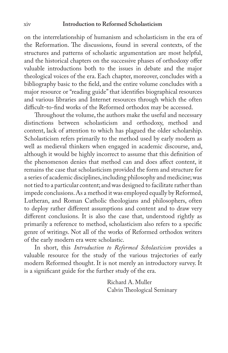#### xiv **Introduction to Reformed Scholasticism**

on the interrelationship of humanism and scholasticism in the era of the Reformation. The discussions, found in several contexts, of the structures and patterns of scholastic argumentation are most helpful, and the historical chapters on the successive phases of orthodoxy offer valuable introductions both to the issues in debate and the major theological voices of the era. Each chapter, moreover, concludes with a bibliography basic to the field, and the entire volume concludes with a major resource or "reading guide" that identifies biographical resources and various libraries and Internet resources through which the often difficult-to-find works of the Reformed orthodox may be accessed.

Throughout the volume, the authors make the useful and necessary distinctions between scholasticism and orthodoxy, method and content, lack of attention to which has plagued the older scholarship. Scholasticism refers primarily to the method used by early modern as well as medieval thinkers when engaged in academic discourse, and, although it would be highly incorrect to assume that this definition of the phenomenon denies that method can and does affect content, it remains the case that scholasticism provided the form and structure for a series of academic disciplines, including philosophy and medicine; was not tied to a particular content; and was designed to facilitate rather than impede conclusions. As a method it was employed equally by Reformed, Lutheran, and Roman Catholic theologians and philosophers, often to deploy rather different assumptions and content and to draw very different conclusions. It is also the case that, understood rightly as primarily a reference to method, scholasticism also refers to a specific genre of writings. Not all of the works of Reformed orthodox writers of the early modern era were scholastic.

In short, this *Introduction to Reformed Scholasticism* provides a valuable resource for the study of the various trajectories of early modern Reformed thought. It is not merely an introductory survey. It is a significant guide for the further study of the era.

> Richard A. Muller Calvin Theological Seminary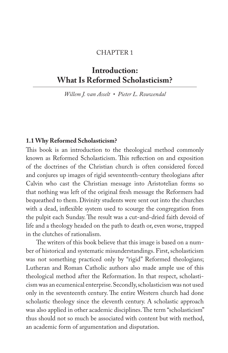#### CHAPTER 1

## **Introduction: What Is Reformed Scholasticism?**

*Willem J. van Asselt • Pieter L. Rouwendal* 

### **1.1 Why Reformed Scholasticism?**

This book is an introduction to the theological method commonly known as Reformed Scholasticism. This reflection on and exposition of the doctrines of the Christian church is often considered forced and conjures up images of rigid seventeenth-century theologians after Calvin who cast the Christian message into Aristotelian forms so that nothing was left of the original fresh message the Reformers had bequeathed to them. Divinity students were sent out into the churches with a dead, inflexible system used to scourge the congregation from the pulpit each Sunday. The result was a cut-and-dried faith devoid of life and a theology headed on the path to death or, even worse, trapped in the clutches of rationalism.

The writers of this book believe that this image is based on a number of historical and systematic misunderstandings. First, scholasticism was not something practiced only by "rigid" Reformed theologians; Lutheran and Roman Catholic authors also made ample use of this theological method after the Reformation. In that respect, scholasticism was an ecumenical enterprise. Secondly, scholasticism was not used only in the seventeenth century. The entire Western church had done scholastic theology since the eleventh century. A scholastic approach was also applied in other academic disciplines. The term "scholasticism" thus should not so much be associated with content but with method, an academic form of argumentation and disputation.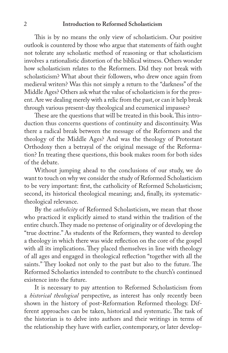#### 2 **Introduction to Reformed Scholasticism**

This is by no means the only view of scholasticism. Our positive outlook is countered by those who argue that statements of faith ought not tolerate any scholastic method of reasoning or that scholasticism involves a rationalistic distortion of the biblical witness. Others wonder how scholasticism relates to the Reformers. Did they not break with scholasticism? What about their followers, who drew once again from medieval writers? Was this not simply a return to the "darkness" of the Middle Ages? Others ask what the value of scholasticism is for the present. Are we dealing merely with a relic from the past, or can it help break through various present-day theological and ecumenical impasses?

These are the questions that will be treated in this book. This introduction thus concerns questions of continuity and discontinuity. Was there a radical break between the message of the Reformers and the theology of the Middle Ages? And was the theology of Protestant Orthodoxy then a betrayal of the original message of the Reformation? In treating these questions, this book makes room for both sides of the debate.

Without jumping ahead to the conclusions of our study, we do want to touch on why we consider the study of Reformed Scholasticism to be very important: first, the catholicity of Reformed Scholasticism; second, its historical theological meaning; and, finally, its systematictheological relevance.

By the *catholicity* of Reformed Scholasticism, we mean that those who practiced it explicitly aimed to stand within the tradition of the entire church. They made no pretense of originality or of developing the "true doctrine." As students of the Reformers, they wanted to develop a theology in which there was wide reflection on the core of the gospel with all its implications. They placed themselves in line with theology of all ages and engaged in theological reflection "together with all the saints." They looked not only to the past but also to the future. The Reformed Scholastics intended to contribute to the church's continued existence into the future.

It is necessary to pay attention to Reformed Scholasticism from a *historical theological* perspective, as interest has only recently been shown in the history of post-Reformation Reformed theology. Different approaches can be taken, historical and systematic. The task of the historian is to delve into authors and their writings in terms of the relationship they have with earlier, contemporary, or later develop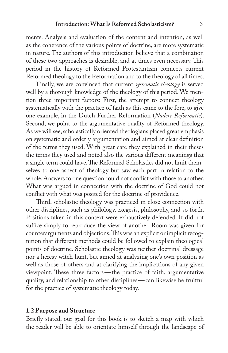ments. Analysis and evaluation of the content and intention, as well as the coherence of the various points of doctrine, are more systematic in nature. The authors of this introduction believe that a combination of these two approaches is desirable, and at times even necessary. This period in the history of Reformed Protestantism connects current Reformed theology to the Reformation and to the theology of all times.

Finally, we are convinced that current *systematic theology* is served well by a thorough knowledge of the theology of this period. We mention three important factors: First, the attempt to connect theology systematically with the practice of faith as this came to the fore, to give one example, in the Dutch Further Reformation (*Nadere Reformatie*). Second, we point to the argumentative quality of Reformed theology. As we will see, scholastically oriented theologians placed great emphasis on systematic and orderly argumentation and aimed at clear definition of the terms they used. With great care they explained in their theses the terms they used and noted also the various different meanings that a single term could have. The Reformed Scholastics did not limit themselves to one aspect of theology but saw each part in relation to the whole. Answers to one question could not conflict with those to another. What was argued in connection with the doctrine of God could not conflict with what was posited for the doctrine of providence.

Third, scholastic theology was practiced in close connection with other disciplines, such as philology, exegesis, philosophy, and so forth. Positions taken in this context were exhaustively defended. It did not suffice simply to reproduce the view of another. Room was given for counterarguments and objections. This was an explicit or implicit recognition that different methods could be followed to explain theological points of doctrine. Scholastic theology was neither doctrinal dressage nor a heresy witch hunt, but aimed at analyzing one's own position as well as those of others and at clarifying the implications of any given viewpoint. These three factors—the practice of faith, argumentative quality, and relationship to other disciplines—can likewise be fruitful for the practice of systematic theology today.

#### **1.2 Purpose and Structure**

Briefly stated, our goal for this book is to sketch a map with which the reader will be able to orientate himself through the landscape of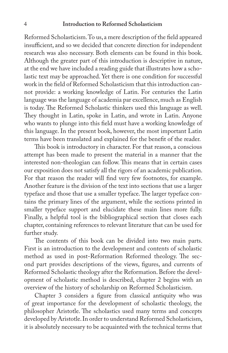#### 4 **Introduction to Reformed Scholasticism**

Reformed Scholasticism. To us, a mere description of the field appeared insufficient, and so we decided that concrete direction for independent research was also necessary. Both elements can be found in this book. Although the greater part of this introduction is descriptive in nature, at the end we have included a reading guide that illustrates how a scholastic text may be approached. Yet there is one condition for successful work in the field of Reformed Scholasticism that this introduction cannot provide: a working knowledge of Latin. For centuries the Latin language was the language of academia par excellence, much as English is today. The Reformed Scholastic thinkers used this language as well. They thought in Latin, spoke in Latin, and wrote in Latin. Anyone who wants to plunge into this field must have a working knowledge of this language. In the present book, however, the most important Latin terms have been translated and explained for the benefit of the reader.

This book is introductory in character. For that reason, a conscious attempt has been made to present the material in a manner that the interested non-theologian can follow. This means that in certain cases our exposition does not satisfy all the rigors of an academic publication. For that reason the reader will find very few footnotes, for example. Another feature is the division of the text into sections that use a larger typeface and those that use a smaller typeface. The larger typeface contains the primary lines of the argument, while the sections printed in smaller typeface support and elucidate these main lines more fully. Finally, a helpful tool is the bibliographical section that closes each chapter, containing references to relevant literature that can be used for further study.

The contents of this book can be divided into two main parts. First is an introduction to the development and contents of scholastic method as used in post-Reformation Reformed theology. The second part provides descriptions of the views, figures, and currents of Reformed Scholastic theology after the Reformation. Before the development of scholastic method is described, chapter 2 begins with an overview of the history of scholarship on Reformed Scholasticism.

Chapter 3 considers a figure from classical antiquity who was of great importance for the development of scholastic theology, the philosopher Aristotle. The scholastics used many terms and concepts developed by Aristotle. In order to understand Reformed Scholasticism, it is absolutely necessary to be acquainted with the technical terms that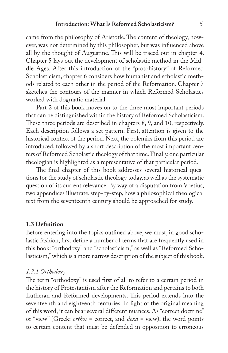came from the philosophy of Aristotle. The content of theology, however, was not determined by this philosopher, but was influenced above all by the thought of Augustine. This will be traced out in chapter 4. Chapter 5 lays out the development of scholastic method in the Middle Ages. After this introduction of the "protohistory" of Reformed Scholasticism, chapter 6 considers how humanist and scholastic methods related to each other in the period of the Reformation. Chapter 7 sketches the contours of the manner in which Reformed Scholastics worked with dogmatic material.

Part 2 of this book moves on to the three most important periods that can be distinguished within the history of Reformed Scholasticism. These three periods are described in chapters 8, 9, and 10, respectively. Each description follows a set pattern. First, attention is given to the historical context of the period. Next, the polemics from this period are introduced, followed by a short description of the most important centers of Reformed Scholastic theology of that time. Finally, one particular theologian is highlighted as a representative of that particular period.

The final chapter of this book addresses several historical questions for the study of scholastic theology today, as well as the systematic question of its current relevance. By way of a disputation from Voetius, two appendices illustrate, step-by-step, how a philosophical theological text from the seventeenth century should be approached for study.

#### **1.3 De!nition**

Before entering into the topics outlined above, we must, in good scholastic fashion, first define a number of terms that are frequently used in this book: "orthodoxy" and "scholasticism," as well as "Reformed Scholasticism," which is a more narrow description of the subject of this book.

#### *1.3.1 Orthodoxy*

The term "orthodoxy" is used first of all to refer to a certain period in the history of Protestantism after the Reformation and pertains to both Lutheran and Reformed developments. This period extends into the seventeenth and eighteenth centuries. In light of the original meaning of this word, it can bear several different nuances. As "correct doctrine" or "view" (Greek: *orthos* = correct, and *doxa* = view), the word points to certain content that must be defended in opposition to erroneous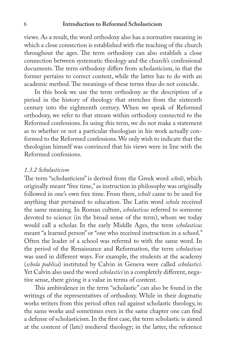views. As a result, the word orthodoxy also has a normative meaning in which a close connection is established with the teaching of the church throughout the ages. The term orthodoxy can also establish a close connection between systematic theology and the church's confessional documents. The term orthodoxy differs from scholasticism, in that the former pertains to correct content, while the latter has to do with an academic method. The meanings of these terms thus do not coincide.

In this book we use the term orthodoxy as the description of a period in the history of theology that stretches from the sixteenth century into the eighteenth century. When we speak of Reformed orthodoxy, we refer to that stream within orthodoxy connected to the Reformed confessions. In using this term, we do not make a statement as to whether or not a particular theologian in his work actually conformed to the Reformed confessions. We only wish to indicate that the theologian himself was convinced that his views were in line with the Reformed confessions.

#### *1.3.2 Scholasticism*

The term "scholasticism" is derived from the Greek word *scholè*, which originally meant "free time," as instruction in philosophy was originally followed in one's own free time. From there, *scholè* came to be used for anything that pertained to education. The Latin word *schola* received the same meaning. In Roman culture, *scholasticus* referred to someone devoted to science (in the broad sense of the term), whom we today would call a scholar. In the early Middle Ages, the term *scholasticus* meant "a learned person" or "one who received instruction in a school." Often the leader of a school was referred to with the same word. In the period of the Renaissance and Reformation, the term *scholasticus* was used in different ways. For example, the students at the academy (*schola publica*) instituted by Calvin in Geneva were called *scholastici*. Yet Calvin also used the word *scholastici* in a completely different, negative sense, there giving it a value in terms of content.

This ambivalence in the term "scholastic" can also be found in the writings of the representatives of orthodoxy. While in their dogmatic works writers from this period often rail against scholastic theology, in the same works and sometimes even in the same chapter one can find a defense of scholasticism. In the first case, the term scholastic is aimed at the content of (late) medieval theology; in the latter, the reference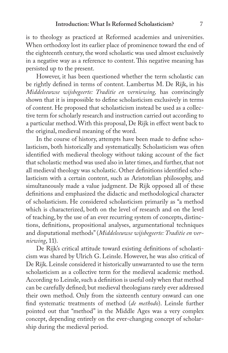is to theology as practiced at Reformed academies and universities. When orthodoxy lost its earlier place of prominence toward the end of the eighteenth century, the word scholastic was used almost exclusively in a negative way as a reference to content. This negative meaning has persisted up to the present.

However, it has been questioned whether the term scholastic can be rightly defined in terms of content. Lambertus M. De Rijk, in his *Middeleeuwse wijsbegeerte: Traditie en verniewing,* has convincingly shown that it is impossible to define scholasticism exclusively in terms of content. He proposed that scholasticism instead be used as a collective term for scholarly research and instruction carried out according to a particular method. With this proposal, De Rijk in effect went back to the original, medieval meaning of the word.

In the course of history, attempts have been made to define scholasticism, both historically and systematically. Scholasticism was often identified with medieval theology without taking account of the fact that scholastic method was used also in later times, and further, that not all medieval theology was scholastic. Other definitions identified scholasticism with a certain content, such as Aristotelian philosophy, and simultaneously made a value judgment. De Rijk opposed all of these definitions and emphasized the didactic and methodological character of scholasticism. He considered scholasticism primarily as "a method which is characterized, both on the level of research and on the level of teaching, by the use of an ever recurring system of concepts, distinctions, definitions, propositional analyses, argumentational techniques and disputational methods" (*Middeleeuwse wijsbegeerte: Traditie en verniewing*, 11).

De Rijk's critical attitude toward existing definitions of scholasticism was shared by Ulrich G. Leinsle. However, he was also critical of De Rijk. Leinsle considered it historically unwarranted to use the term scholasticism as a collective term for the medieval academic method. According to Leinsle, such a definition is useful only when that method can be carefully defined; but medieval theologians rarely ever addressed their own method. Only from the sixteenth century onward can one find systematic treatments of method (*de methodo*). Leinsle further pointed out that "method" in the Middle Ages was a very complex concept, depending entirely on the ever-changing concept of scholarship during the medieval period.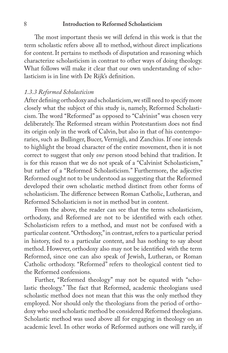#### 8 **Introduction to Reformed Scholasticism**

The most important thesis we will defend in this work is that the term scholastic refers above all to method, without direct implications for content. It pertains to methods of disputation and reasoning which characterize scholasticism in contrast to other ways of doing theology. What follows will make it clear that our own understanding of scholasticism is in line with De Rijk's definition.

#### *1.3.3 Reformed Scholasticism*

After defining orthodoxy and scholasticism, we still need to specify more closely what the subject of this study is, namely, Reformed Scholasticism. The word "Reformed" as opposed to "Calvinist" was chosen very deliberately. The Reformed stream within Protestantism does not find its origin only in the work of Calvin, but also in that of his contemporaries, such as Bullinger, Bucer, Vermigli, and Zanchius. If one intends to highlight the broad character of the entire movement, then it is not correct to suggest that only *one* person stood behind that tradition. It is for this reason that we do not speak of a "Calvinist Scholasticism," but rather of a "Reformed Scholasticism." Furthermore, the adjective Reformed ought not to be understood as suggesting that the Reformed developed their own scholastic method distinct from other forms of scholasticism. The difference between Roman Catholic, Lutheran, and Reformed Scholasticism is not in method but in content.

From the above, the reader can see that the terms scholasticism, orthodoxy, and Reformed are not to be identified with each other. Scholasticism refers to a method, and must not be confused with a particular content. "Orthodoxy," in contrast, refers to a particular period in history, tied to a particular content, and has nothing to say about method. However, orthodoxy also may not be identified with the term Reformed, since one can also speak of Jewish, Lutheran, or Roman Catholic orthodoxy. "Reformed" refers to theological content tied to the Reformed confessions.

Further, "Reformed theology" may not be equated with "scholastic theology." The fact that Reformed, academic theologians used scholastic method does not mean that this was the only method they employed. Nor should only the theologians from the period of orthodoxy who used scholastic method be considered Reformed theologians. Scholastic method was used above all for engaging in theology on an academic level. In other works of Reformed authors one will rarely, if